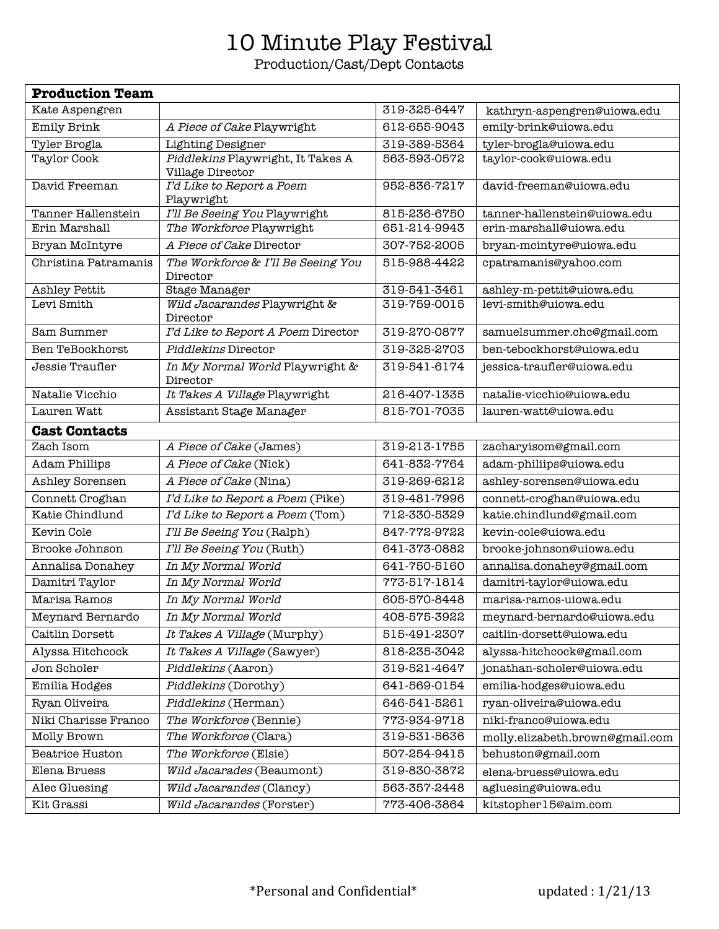## 10 Minute Play Festival

Production/Cast/Dept Contacts

| <b>Production Team</b> |                                                       |              |                                 |  |
|------------------------|-------------------------------------------------------|--------------|---------------------------------|--|
| Kate Aspengren         |                                                       | 319-325-6447 | kathryn-aspengren@uiowa.edu     |  |
| <b>Emily Brink</b>     | A Piece of Cake Playwright                            | 612-655-9043 | emily-brink@uiowa.edu           |  |
| Tyler Brogla           | <b>Lighting Designer</b>                              | 319-389-5364 | tyler-brogla@uiowa.edu          |  |
| Taylor Cook            | Piddlekins Playwright, It Takes A<br>Village Director | 563-593-0572 | taylor-cook@uiowa.edu           |  |
| David Freeman          | I'd Like to Report a Poem<br>Playwright               | 952-836-7217 | david-freeman@uiowa.edu         |  |
| Tanner Hallenstein     | I'll Be Seeing You Playwright                         | 815-236-6750 | tanner-hallenstein@uiowa.edu    |  |
| Erin Marshall          | The Workforce Playwright                              | 651-214-9943 | erin-marshall@uiowa.edu         |  |
| Bryan McIntyre         | A Piece of Cake Director                              | 307-752-2005 | bryan-mcintyre@uiowa.edu        |  |
| Christina Patramanis   | The Workforce & I'll Be Seeing You<br>Director        | 515-988-4422 | cpatramanis@yahoo.com           |  |
| <b>Ashley Pettit</b>   | Stage Manager                                         | 319-541-3461 | ashley-m-pettit@uiowa.edu       |  |
| Levi Smith             | Wild Jacarandes Playwright &<br>Director              | 319-759-0015 | levi-smith@uiowa.edu            |  |
| Sam Summer             | I'd Like to Report A Poem Director                    | 319-270-0877 | samuelsummer.chc@gmail.com      |  |
| Ben TeBockhorst        | Piddlekins Director                                   | 319-325-2703 | ben-tebockhorst@uiowa.edu       |  |
| Jessie Traufler        | In My Normal World Playwright &<br>Director           | 319-541-6174 | jessica-traufler@uiowa.edu      |  |
| Natalie Vicchio        | It Takes A Village Playwright                         | 216-407-1335 | natalie-vicchio@uiowa.edu       |  |
| Lauren Watt            | Assistant Stage Manager                               | 815-701-7035 | lauren-watt@uiowa.edu           |  |
| <b>Cast Contacts</b>   |                                                       |              |                                 |  |
| Zach Isom              | A Piece of Cake (James)                               | 319-213-1755 | zacharyisom@gmail.com           |  |
| <b>Adam Phillips</b>   | A Piece of Cake (Nick)                                | 641-832-7764 | adam-philiips@uiowa.edu         |  |
| Ashley Sorensen        | A Piece of Cake (Nina)                                | 319-269-6212 | ashley-sorensen@uiowa.edu       |  |
| Connett Croghan        | I'd Like to Report a Poem (Pike)                      | 319-481-7996 | connett-croghan@uiowa.edu       |  |
| Katie Chindlund        | I'd Like to Report a Poem (Tom)                       | 712-330-5329 | katie.chindlund@gmail.com       |  |
| Kevin Cole             | I'll Be Seeing You (Ralph)                            | 847-772-9722 | kevin-cole@uiowa.edu            |  |
| Brooke Johnson         | I'll Be Seeing You (Ruth)                             | 641-373-0882 | brooke-johnson@uiowa.edu        |  |
| Annalisa Donahey       | In My Normal World                                    | 641-750-5160 | annalisa.donahey@gmail.com      |  |
| Damitri Taylor         | In My Normal World                                    | 773-517-1814 | damitri-taylor@uiowa.edu        |  |
| Marisa Ramos           | In My Normal World                                    | 605-570-8448 | marisa-ramos-uiowa.edu          |  |
| Meynard Bernardo       | In My Normal World                                    | 408-575-3922 | meynard-bernardo@uiowa.edu      |  |
| Caitlin Dorsett        | It Takes A Village (Murphy)                           | 515-491-2307 | caitlin-dorsett@uiowa.edu       |  |
| Alyssa Hitchcock       | It Takes A Village (Sawyer)                           | 818-235-3042 | alyssa-hitchcock@gmail.com      |  |
| Jon Scholer            | Piddlekins (Aaron)                                    | 319-521-4647 | jonathan-scholer@uiowa.edu      |  |
| Emilia Hodges          | Piddlekins (Dorothy)                                  | 641-569-0154 | emilia-hodges@uiowa.edu         |  |
| Ryan Oliveira          | Piddlekins (Herman)                                   | 646-541-5261 | ryan-oliveira@uiowa.edu         |  |
| Niki Charisse Franco   | The Workforce (Bennie)                                | 773-934-9718 | niki-franco@uiowa.edu           |  |
| Molly Brown            | The Workforce (Clara)                                 | 319-531-5636 | molly.elizabeth.brown@gmail.com |  |
| <b>Beatrice Huston</b> | The Workforce (Elsie)                                 | 507-254-9415 | behuston@gmail.com              |  |
| Elena Bruess           | Wild Jacarades (Beaumont)                             | 319-830-3872 | elena-bruess@uiowa.edu          |  |
| Alec Gluesing          | Wild Jacarandes (Clancy)                              | 563-357-2448 | agluesing@uiowa.edu             |  |
| Kit Grassi             | Wild Jacarandes (Forster)                             | 773-406-3864 | kitstopher15@aim.com            |  |